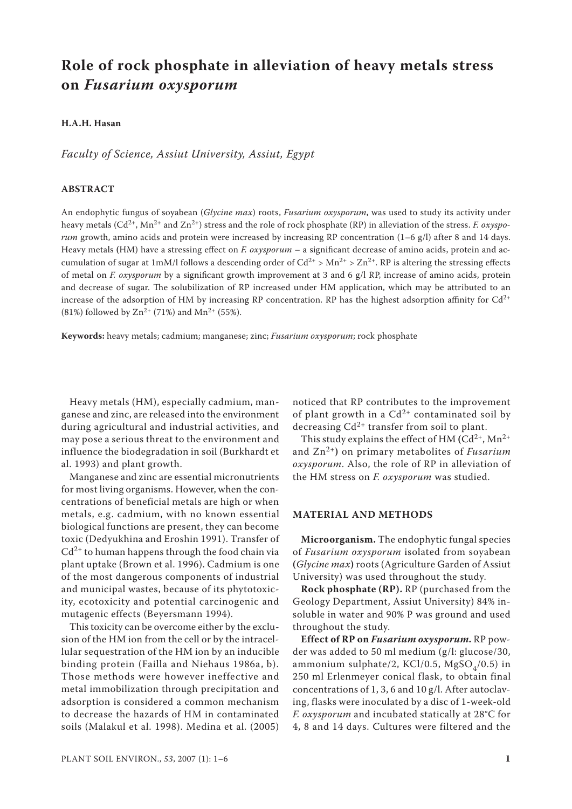# **Role of rock phosphate in alleviation of heavy metals stress on** *Fusarium oxysporum*

## **H.A.H. Hasan**

*Faculty of Science, Assiut University, Assiut, Egypt*

### **ABSTRACT**

An endophytic fungus of soyabean (*Glycine max*) roots, *Fusarium oxysporum*, was used to study its activity under heavy metals (Cd<sup>2+</sup>, Mn<sup>2+</sup> and Zn<sup>2+</sup>) stress and the role of rock phosphate (RP) in alleviation of the stress. *F. oxysporum* growth, amino acids and protein were increased by increasing RP concentration (1–6 g/l) after 8 and 14 days. Heavy metals **(**HM) have a stressing effect on *F. oxysporum* – a significant decrease of amino acids, protein and accumulation of sugar at 1mM/l follows a descending order of  $Cd^{2+} > Mn^{2+} > Zn^{2+}$ . RP is altering the stressing effects of metal on *F. oxysporum* by a significant growth improvement at 3 and 6 g/l RP, increase of amino acids, protein and decrease of sugar. The solubilization of RP increased under HM application, which may be attributed to an increase of the adsorption of HM by increasing RP concentration. RP has the highest adsorption affinity for  $Cd^{2+}$ (81%) followed by  $\text{Zn}^{2+}$  (71%) and  $\text{Mn}^{2+}$  (55%).

**Keywords:** heavy metals; cadmium; manganese; zinc; *Fusarium oxysporum*; rock phosphate

Heavy metals (HM), especially cadmium, manganese and zinc, are released into the environment during agricultural and industrial activities, and may pose a serious threat to the environment and influence the biodegradation in soil (Burkhardt et al. 1993) and plant growth.

Manganese and zinc are essential micronutrients for most living organisms. However, when the concentrations of beneficial metals are high or when metals, e.g. cadmium, with no known essential biological functions are present, they can become toxic (Dedyukhina and Eroshin 1991). Transfer of  $Cd^{2+}$  to human happens through the food chain via plant uptake (Brown et al. 1996). Cadmium is one of the most dangerous components of industrial and municipal wastes, because of its phytotoxicity, ecotoxicity and potential carcinogenic and mutagenic effects (Beyersmann 1994).

This toxicity can be overcome either by the exclusion of the HM ion from the cell or by the intracellular sequestration of the HM ion by an inducible binding protein (Failla and Niehaus 1986a, b). Those methods were however ineffective and metal immobilization through precipitation and adsorption is considered a common mechanism to decrease the hazards of HM in contaminated soils (Malakul et al. 1998). Medina et al. (2005) noticed that RP contributes to the improvement of plant growth in a  $Cd^{2+}$  contaminated soil by decreasing  $Cd^{2+}$  transfer from soil to plant.

This study explains the effect of HM  $(Cd^{2+}, Mn^{2+})$ and Zn2+**)** on primary metabolites of *Fusarium oxysporum*. Also, the role of RP in alleviation of the HM stress on *F. oxysporum* was studied.

#### **MATERIAL AND METHODS**

**Microorganism.** The endophytic fungal species of *Fusarium oxysporum* isolated from soyabean **(***Glycine max***)** roots (Agriculture Garden of Assiut University) was used throughout the study.

**Rock phosphate (RP).** RP (purchased from the Geology Department, Assiut University) 84% insoluble in water and 90% P was ground and used throughout the study.

**Effect of RP on** *Fusarium oxysporum***.** RP powder was added to 50 ml medium (g/l: glucose/30, ammonium sulphate/2, KCl/0.5, MgSO<sub> $4$ </sub>/0.5) in 250 ml Erlenmeyer conical flask, to obtain final concentrations of 1, 3, 6 and 10 g/l. After autoclaving, flasks were inoculated by a disc of 1-week-old *F. oxysporum* and incubated statically at 28°C for 4, 8 and 14 days. Cultures were filtered and the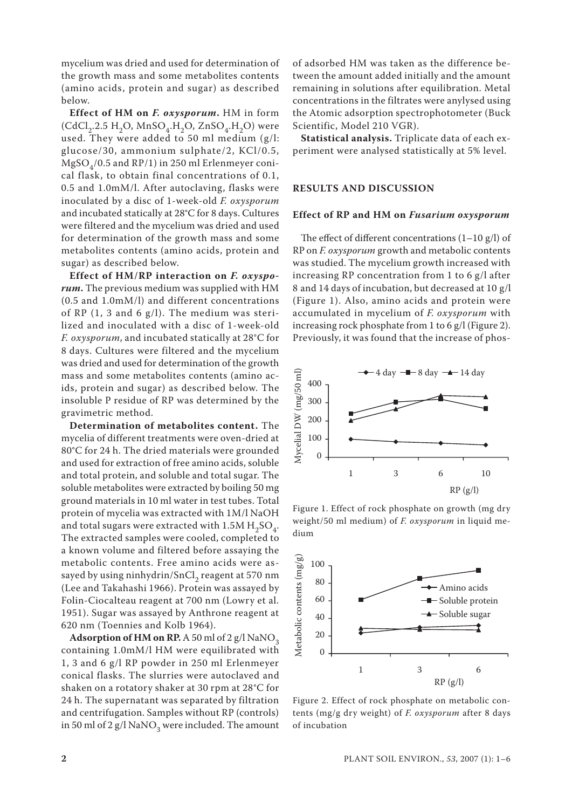mycelium was dried and used for determination of the growth mass and some metabolites contents (amino acids, protein and sugar) as described below.

**Effect of HM on** *F. oxysporum***.** HM in form  $(CdCl<sub>2</sub>.2.5 H<sub>2</sub>O, MnSO<sub>4</sub>.H<sub>2</sub>O, ZnSO<sub>4</sub>.H<sub>2</sub>O)$  were used. They were added to 50 ml medium (g/l: glucose/30, ammonium sulphate/2, KCl/0.5,  $MgSO<sub>4</sub>/0.5$  and RP/1) in 250 ml Erlenmeyer conical flask, to obtain final concentrations of 0.1, 0.5 and 1.0mM/l. After autoclaving, flasks were inoculated by a disc of 1-week-old *F. oxysporum*  and incubated statically at 28°C for 8 days. Cultures were filtered and the mycelium was dried and used for determination of the growth mass and some metabolites contents (amino acids, protein and sugar) as described below.

**Effect of HM/RP interaction on** *F. oxysporum***.** The previous medium was supplied with HM (0.5 and 1.0mM/l) and different concentrations of RP (1, 3 and 6 g/l). The medium was sterilized and inoculated with a disc of 1-week-old *F. oxysporum*, and incubated statically at 28°C for 8 days. Cultures were filtered and the mycelium was dried and used for determination of the growth mass and some metabolites contents (amino acids, protein and sugar) as described below. The insoluble P residue of RP was determined by the gravimetric method.

**Determination of metabolites content.** The mycelia of different treatments were oven-dried at 80°C for 24 h. The dried materials were grounded and used for extraction of free amino acids, soluble and total protein, and soluble and total sugar. The soluble metabolites were extracted by boiling 50 mg ground materials in 10 ml water in test tubes. Total protein of mycelia was extracted with 1M/l NaOH and total sugars were extracted with  $1.5M H<sub>2</sub>SO<sub>4</sub>$ . The extracted samples were cooled, completed to a known volume and filtered before assaying the metabolic contents. Free amino acids were assayed by using ninhydrin/SnCl<sub>2</sub> reagent at 570 nm (Lee and Takahashi 1966). Protein was assayed by Folin-Ciocalteau reagent at 700 nm (Lowry et al. 1951). Sugar was assayed by Anthrone reagent at 620 nm (Toennies and Kolb 1964).

Adsorption of HM on RP. A 50 ml of 2 g/l NaNO<sub>2</sub> containing 1.0mM/l HM were equilibrated with 1, 3 and 6 g/l RP powder in 250 ml Erlenmeyer conical flasks. The slurries were autoclaved and shaken on a rotatory shaker at 30 rpm at 28°C for 24 h. The supernatant was separated by filtration and centrifugation. Samples without RP (controls) in 50 ml of 2 g/l NaNO<sub>3</sub> were included. The amount

of adsorbed HM was taken as the difference between the amount added initially and the amount remaining in solutions after equilibration. Metal concentrations in the filtrates were anylysed using the Atomic adsorption spectrophotometer (Buck Scientific, Model 210 VGR).

**Statistical analysis.** Triplicate data of each experiment were analysed statistically at 5% level.

#### **RESULTS AND DISCUSSION**

## **Effect of RP and HM on** *Fusarium oxysporum*

The effect of different concentrations  $(1-10 g/l)$  of RP on *F. oxysporum* growth and metabolic contents was studied. The mycelium growth increased with increasing RP concentration from 1 to 6 g/l after 8 and 14 days of incubation, but decreased at 10 g/l (Figure 1). Also, amino acids and protein were accumulated in mycelium of *F. oxysporum* with increasing rock phosphate from 1 to 6 g/l (Figure 2). Previously, it was found that the increase of phos-



Figure 1. Effect of rock phosphate on growth (mg dry weight/50 ml medium) of *F. oxysporum* in liquid medium



Figure 2. Effect of rock phosphate on metabolic contents (mg/g dry weight) of *F. oxysporum* after 8 days of incubation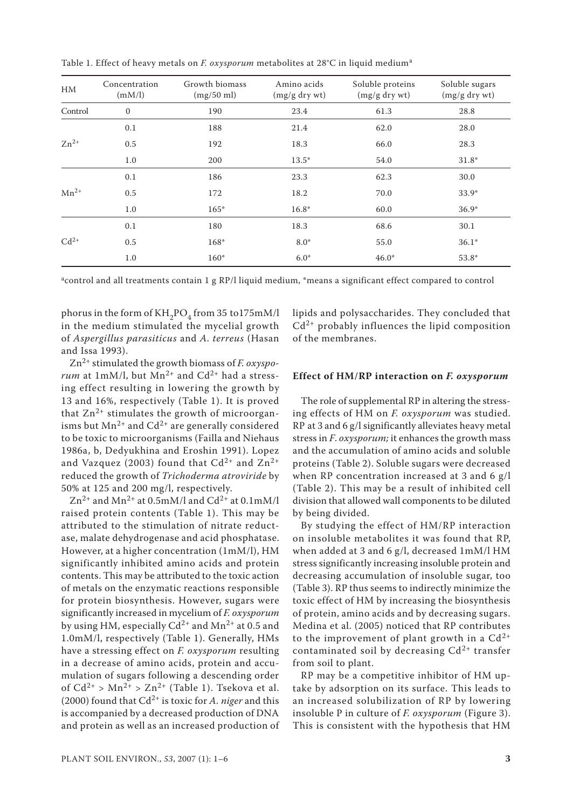| HM        | Concentration<br>(mM/l) | Growth biomass<br>(mg/50 ml) | Amino acids<br>$(mg/g$ dry wt) | Soluble proteins<br>$(mg/g$ dry wt) | Soluble sugars<br>$(mg/g$ dry wt) |  |
|-----------|-------------------------|------------------------------|--------------------------------|-------------------------------------|-----------------------------------|--|
| Control   | $\boldsymbol{0}$        | 190                          | 23.4                           | 61.3                                | 28.8                              |  |
|           | 0.1                     | 188                          | 21.4                           | 62.0                                | 28.0                              |  |
| $Zn^{2+}$ | 0.5                     | 192                          | 18.3                           | 66.0                                | 28.3                              |  |
|           | 1.0                     | 200                          | $13.5*$                        | 54.0                                | $31.8*$                           |  |
|           | 0.1                     | 186                          | 23.3                           | 62.3                                | 30.0                              |  |
| $Mn^{2+}$ | 0.5                     | 172                          | 18.2                           | 70.0                                | $33.9*$                           |  |
|           | 1.0                     | $165*$                       | $16.8*$                        | 60.0                                | $36.9*$                           |  |
|           | 0.1                     | 180                          | 18.3                           | 68.6                                | 30.1                              |  |
| $Cd^{2+}$ | 0.5                     | 168*                         | $8.0*$                         | 55.0                                | $36.1*$                           |  |
|           | 1.0                     | $160*$                       | $6.0*$                         | $46.0*$                             | 53.8*                             |  |

Table 1. Effect of heavy metals on *F. oxysporum* metabolites at 28°C in liquid medium<sup>a</sup>

<sup>a</sup>control and all treatments contain 1 g RP/l liquid medium, \*means a significant effect compared to control

phorus in the form of  $KH_{2}PO_{4}$  from 35 to175mM/l in the medium stimulated the mycelial growth of *Aspergillus parasiticus* and *A. terreus* (Hasan and Issa 1993).

Zn2+ stimulated the growth biomass of *F. oxysporum* at 1mM/l, but  $Mn^{2+}$  and  $Cd^{2+}$  had a stressing effect resulting in lowering the growth by 13 and 16%, respectively (Table 1). It is proved that  $Zn^{2+}$  stimulates the growth of microorganisms but  $Mn^{2+}$  and  $Cd^{2+}$  are generally considered to be toxic to microorganisms (Failla and Niehaus 1986a, b, Dedyukhina and Eroshin 1991). Lopez and Vazquez (2003) found that  $Cd^{2+}$  and  $Zn^{2+}$ reduced the growth of *Trichoderma atroviride* by 50% at 125 and 200 mg/l, respectively.

 $Zn^{2+}$  and Mn<sup>2+</sup> at 0.5mM/l and Cd<sup>2+</sup> at 0.1mM/l raised protein contents (Table 1). This may be attributed to the stimulation of nitrate reductase, malate dehydrogenase and acid phosphatase. However, at a higher concentration (1mM/l), HM significantly inhibited amino acids and protein contents. This may be attributed to the toxic action of metals on the enzymatic reactions responsible for protein biosynthesis. However, sugars were significantly increased in mycelium of *F. oxysporum* by using HM, especially  $Cd^{2+}$  and  $Mn^{2+}$  at 0.5 and 1.0mM/l, respectively (Table 1). Generally, HMs have a stressing effect on *F. oxysporum* resulting in a decrease of amino acids, protein and accumulation of sugars following a descending order of  $Cd^{2+} > Mn^{2+} > Zn^{2+}$  (Table 1). Tsekova et al. (2000) found that Cd2+ is toxic for *A. niger* and this is accompanied by a decreased production of DNA and protein as well as an increased production of lipids and polysaccharides. They concluded that  $Cd^{2+}$  probably influences the lipid composition of the membranes.

#### **Effect of HM/RP interaction on** *F. oxysporum*

The role of supplemental RP in altering the stressing effects of HM on *F. oxysporum* was studied. RP at 3 and 6 g/l significantly alleviates heavy metal stress in *F*. *oxysporum;* it enhances the growth mass and the accumulation of amino acids and soluble proteins (Table 2). Soluble sugars were decreased when RP concentration increased at 3 and 6 g/l (Table 2). This may be a result of inhibited cell division that allowed wall components to be diluted by being divided.

By studying the effect of HM/RP interaction on insoluble metabolites it was found that RP, when added at 3 and 6 g/l, decreased 1mM/l HM stress significantly increasing insoluble protein and decreasing accumulation of insoluble sugar, too (Table 3). RP thus seems to indirectly minimize the toxic effect of HM by increasing the biosynthesis of protein, amino acids and by decreasing sugars. Medina et al. (2005) noticed that RP contributes to the improvement of plant growth in a  $Cd^{2+}$ contaminated soil by decreasing  $Cd^{2+}$  transfer from soil to plant.

RP may be a competitive inhibitor of HM uptake by adsorption on its surface. This leads to an increased solubilization of RP by lowering insoluble P in culture of *F. oxysporum* (Figure 3). This is consistent with the hypothesis that HM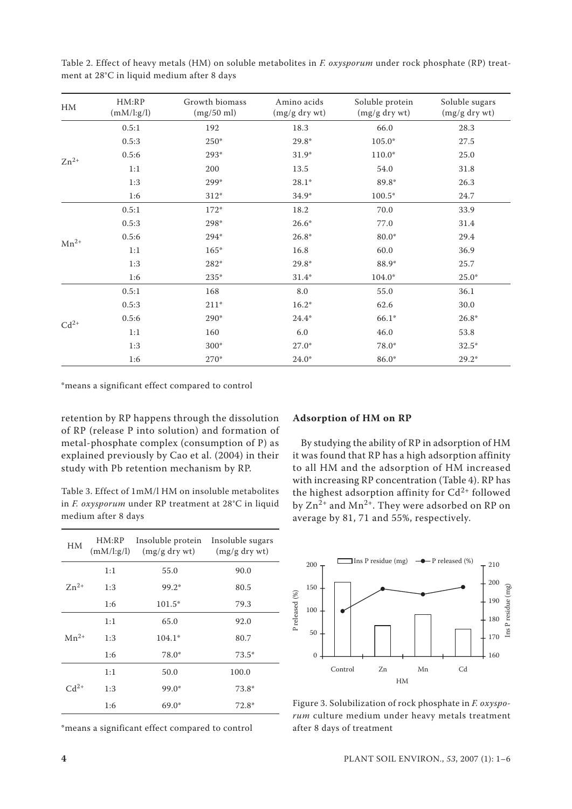| $\ensuremath{\text{HM}}\xspace$ | HM:RP<br>(mM/l:g/l) | Growth biomass<br>(mg/50 ml) | Amino acids<br>(mg/g dry wt) | Soluble protein<br>$(mg/g$ dry wt) | Soluble sugars<br>(mg/g dry wt) |
|---------------------------------|---------------------|------------------------------|------------------------------|------------------------------------|---------------------------------|
|                                 | 0.5:1               | 192                          | 18.3                         | 66.0                               | 28.3                            |
| $Zn^{2+}$                       | 0.5:3               | $250*$                       | 29.8*                        | $105.0*$                           | 27.5                            |
|                                 | 0.5:6               | 293*                         | $31.9*$                      | $110.0*$                           | 25.0                            |
|                                 | 1:1                 | 200                          | 13.5                         | 54.0                               | 31.8                            |
|                                 | 1:3                 | 299*                         | $28.1*$                      | 89.8*                              | 26.3                            |
|                                 | 1:6                 | $312*$                       | $34.9*$                      | $100.5*$                           | 24.7                            |
| $Mn^{2+}$                       | 0.5:1               | $172*$                       | 18.2                         | 70.0                               | 33.9                            |
|                                 | 0.5:3               | 298*                         | $26.6*$                      | 77.0                               | 31.4                            |
|                                 | 0.5:6               | 294*                         | $26.8*$                      | 80.0*                              | 29.4                            |
|                                 | 1:1                 | $165*$                       | 16.8                         | 60.0                               | 36.9                            |
|                                 | 1:3                 | 282*                         | $29.8*$                      | 88.9*                              | 25.7                            |
|                                 | 1:6                 | 235*                         | $31.4*$                      | 104.0*                             | $25.0*$                         |
| $Cd^{2+}$                       | 0.5:1               | 168                          | 8.0                          | 55.0                               | 36.1                            |
|                                 | 0.5:3               | $211*$                       | $16.2*$                      | 62.6                               | 30.0                            |
|                                 | 0.5:6               | $290*$                       | $24.4*$                      | $66.1*$                            | $26.8*$                         |
|                                 | 1:1                 | 160                          | 6.0                          | 46.0                               | 53.8                            |
|                                 | 1:3                 | 300*                         | $27.0*$                      | 78.0*                              | $32.5*$                         |
|                                 | 1:6                 | $270*$                       | $24.0*$                      | $86.0*$                            | $29.2*$                         |

Table 2. Effect of heavy metals (HM) on soluble metabolites in F. oxysporum under rock phosphate (RP) treatment at 28°C in liquid medium after 8 days

\*means a significant effect compared to control

retention by RP happens through the dissolution of RP (release P into solution) and formation of metal-phosphate complex (consumption of P) as explained previously by Cao et al. (2004) in their study with Pb retention mechanism by RP.

Table 3. Effect of 1mM/l HM on insoluble metabolites in *F. oxysporum* under RP treatment at 28°C in liquid medium after 8 days

| HM        | HM:RP<br>(mM/l:g/l) | Insoluble protein<br>$(mg/g$ dry wt) | Insoluble sugars<br>$(mg/g$ dry wt) |
|-----------|---------------------|--------------------------------------|-------------------------------------|
|           | 1:1                 | 55.0                                 | 90.0                                |
| $Zn^{2+}$ | 1:3                 | 99.2*                                | 80.5                                |
|           | 1:6                 | 101.5*                               | 79.3                                |
|           | 1:1                 | 65.0                                 | 92.0                                |
| $Mn^{2+}$ | 1:3                 | $104.1*$                             | 80.7                                |
|           | 1:6                 | 78.0*                                | $73.5*$                             |
|           | 1:1                 | 50.0                                 | 100.0                               |
| $Cd^{2+}$ | 1:3                 | 99.0*                                | $73.8*$                             |
|           | 1:6                 | $69.0*$                              | 72.8*                               |

\*means a significant effect compared to control

## **Adsorption of HM on RP**

By studying the ability of RP in adsorption of HM it was found that RP has a high adsorption affinity to all HM and the adsorption of HM increased with increasing RP concentration (Table 4). RP has the highest adsorption affinity for  $Cd^{2+}$  followed by Zn<sup>2+</sup> and Mn<sup>2+</sup>. They were adsorbed on RP on average by 81, 71 and 55%, respectively.



Figure 3. Solubilization of rock phosphate in *F. oxyspo*rum culture medium under heavy metals treatment after 8 days of treatment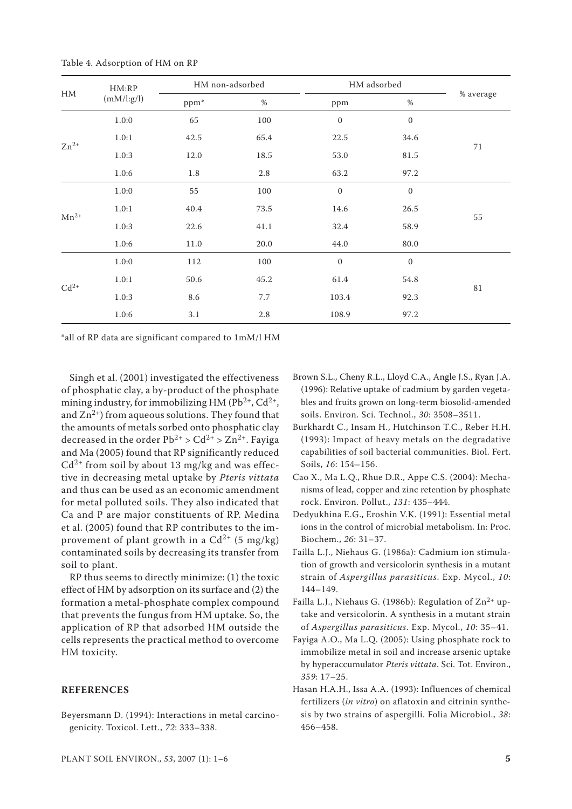| $\rm HM$  | HM:RP<br>(mM/l:g/l) |         | HM non-adsorbed |                  | HM adsorbed      |             |
|-----------|---------------------|---------|-----------------|------------------|------------------|-------------|
|           |                     | ppm*    | $\%$            | ppm              | $\%$             | % average   |
| $Zn^{2+}$ | 1.0:0               | 65      | 100             | $\boldsymbol{0}$ | $\boldsymbol{0}$ |             |
|           | 1.0:1               | 42.5    | 65.4            | 22.5             | 34.6             |             |
|           | 1.0:3               | 12.0    | 18.5            | 53.0             | 81.5             | 71          |
|           | 1.0:6               | $1.8\,$ | $2.8\,$         | 63.2             | 97.2             |             |
| $Mn^{2+}$ | 1.0:0               | 55      | 100             | $\boldsymbol{0}$ | $\boldsymbol{0}$ |             |
|           | 1.0:1               | 40.4    | 73.5            | 14.6             | 26.5             |             |
|           | 1.0:3               | 22.6    | 41.1            | 32.4             | 58.9             | 55          |
|           | 1.0:6               | 11.0    | 20.0            | 44.0             | 80.0             |             |
| $Cd^{2+}$ | 1.0:0               | 112     | 100             | $\boldsymbol{0}$ | $\boldsymbol{0}$ |             |
|           | 1.0:1               | 50.6    | 45.2            | 61.4             | 54.8             |             |
|           | 1.0:3               | 8.6     | 7.7             | 103.4            | 92.3             | $8\sqrt{1}$ |
|           | 1.0:6               | 3.1     | $2.8\,$         | 108.9            | 97.2             |             |

Table 4. Adsorption of HM on RP

\*all of RP data are significant compared to 1mM/l HM

Singh et al. (2001) investigated the effectiveness of phosphatic clay, a by-product of the phosphate mining industry, for immobilizing HM ( $Pb^{2+}$ ,  $Cd^{2+}$ , and  $\text{Zn}^{2+}$ ) from aqueous solutions. They found that the amounts of metals sorbed onto phosphatic clay decreased in the order  $Pb^{2+} > Cd^{2+} > Zn^{2+}$ . Faviga and Ma (2005) found that RP significantly reduced  $Cd^{2+}$  from soil by about 13 mg/kg and was effective in decreasing metal uptake by *Pteris vittata*  and thus can be used as an economic amendment for metal polluted soils. They also indicated that Ca and P are major constituents of RP. Medina et al. (2005) found that RP contributes to the improvement of plant growth in a  $Cd^{2+}$  (5 mg/kg) contaminated soils by decreasing its transfer from soil to plant.

RP thus seems to directly minimize: (1) the toxic effect of HM by adsorption on its surface and (2) the formation a metal-phosphate complex compound that prevents the fungus from HM uptake. So, the application of RP that adsorbed HM outside the cells represents the practical method to overcome HM toxicity.

## **REFERENCES**

Beyersmann D. (1994): Interactions in metal carcinogenicity. Toxicol. Lett., *72*: 333–338.

- Brown S.L., Cheny R.L., Lloyd C.A., Angle J.S., Ryan J.A. (1996): Relative uptake of cadmium by garden vegetables and fruits grown on long-term biosolid-amended soils. Environ. Sci. Technol., *30*: 3508–3511.
- Burkhardt C., Insam H., Hutchinson T.C., Reber H.H. (1993): Impact of heavy metals on the degradative capabilities of soil bacterial communities. Biol. Fert. Soils, *16*: 154–156.
- Cao X., Ma L.Q., Rhue D.R., Appe C.S. (2004): Mechanisms of lead, copper and zinc retention by phosphate rock. Environ. Pollut., *131*: 435–444.
- Dedyukhina E.G., Eroshin V.K. (1991): Essential metal ions in the control of microbial metabolism. In: Proc. Biochem., *26*: 31–37.
- Failla L.J., Niehaus G. (1986a): Cadmium ion stimulation of growth and versicolorin synthesis in a mutant strain of *Aspergillus parasiticus*. Exp. Mycol., *10*: 144–149.
- Failla L.J., Niehaus G. (1986b): Regulation of  $Zn^{2+}$  uptake and versicolorin. A synthesis in a mutant strain of *Aspergillus parasiticus*. Exp. Mycol., *10*: 35–41.
- Fayiga A.O., Ma L.Q. (2005): Using phosphate rock to immobilize metal in soil and increase arsenic uptake by hyperaccumulator *Pteris vittata*. Sci. Tot. Environ., *359*: 17–25.
- Hasan H.A.H., Issa A.A. (1993): Influences of chemical fertilizers (*in vitro*) on aflatoxin and citrinin synthesis by two strains of aspergilli. Folia Microbiol., *38*: 456–458.